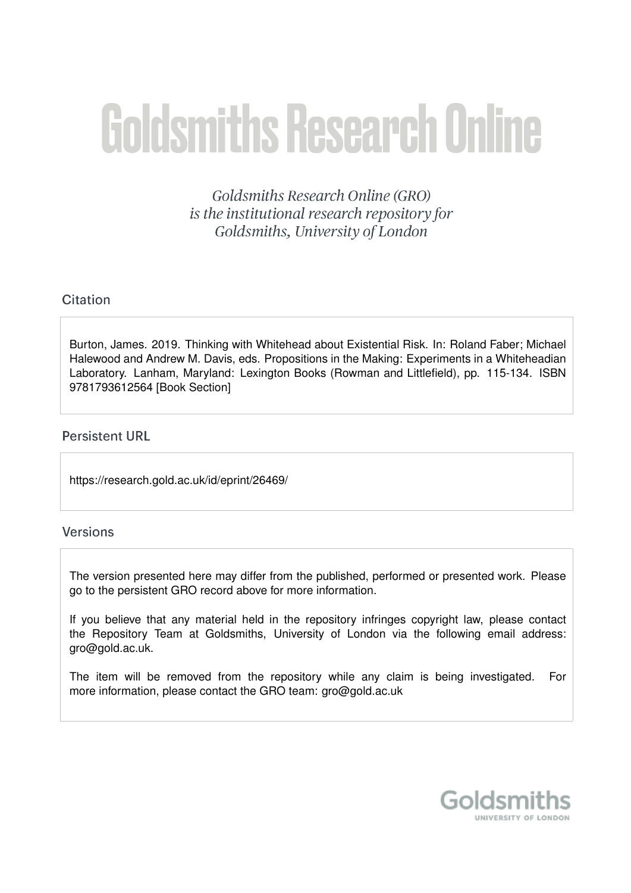# **Goldsmiths Research Online**

Goldsmiths Research Online (GRO) is the institutional research repository for Goldsmiths, University of London

# Citation

Burton, James. 2019. Thinking with Whitehead about Existential Risk. In: Roland Faber; Michael Halewood and Andrew M. Davis, eds. Propositions in the Making: Experiments in a Whiteheadian Laboratory. Lanham, Maryland: Lexington Books (Rowman and Littlefield), pp. 115-134. ISBN 9781793612564 [Book Section]

## **Persistent URL**

https://research.gold.ac.uk/id/eprint/26469/

## **Versions**

The version presented here may differ from the published, performed or presented work. Please go to the persistent GRO record above for more information.

If you believe that any material held in the repository infringes copyright law, please contact the Repository Team at Goldsmiths, University of London via the following email address: gro@gold.ac.uk.

The item will be removed from the repository while any claim is being investigated. For more information, please contact the GRO team: gro@gold.ac.uk

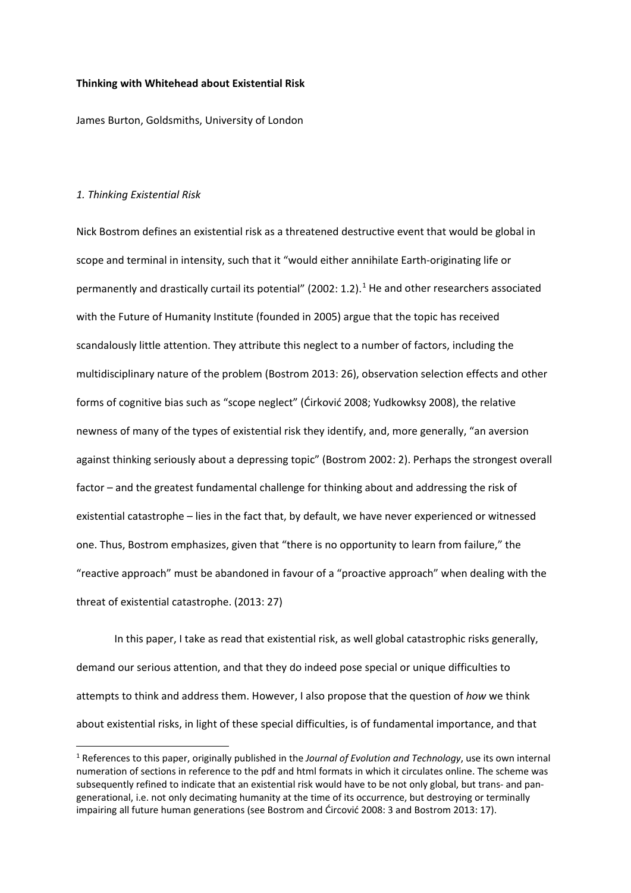## **Thinking with Whitehead about Existential Risk**

James Burton, Goldsmiths, University of London

### *1. Thinking Existential Risk*

Nick Bostrom defines an existential risk as a threatened destructive event that would be global in scope and terminal in intensity, such that it "would either annihilate Earth-originating life or permanently and drastically curtail its potential" (2002: [1](#page-1-0).2).<sup>1</sup> He and other researchers associated with the Future of Humanity Institute (founded in 2005) argue that the topic has received scandalously little attention. They attribute this neglect to a number of factors, including the multidisciplinary nature of the problem (Bostrom 2013: 26), observation selection effects and other forms of cognitive bias such as "scope neglect" (Ćirković 2008; Yudkowksy 2008), the relative newness of many of the types of existential risk they identify, and, more generally, "an aversion against thinking seriously about a depressing topic" (Bostrom 2002: 2). Perhaps the strongest overall factor – and the greatest fundamental challenge for thinking about and addressing the risk of existential catastrophe – lies in the fact that, by default, we have never experienced or witnessed one. Thus, Bostrom emphasizes, given that "there is no opportunity to learn from failure," the "reactive approach" must be abandoned in favour of a "proactive approach" when dealing with the threat of existential catastrophe. (2013: 27)

In this paper, I take as read that existential risk, as well global catastrophic risks generally, demand our serious attention, and that they do indeed pose special or unique difficulties to attempts to think and address them. However, I also propose that the question of *how* we think about existential risks, in light of these special difficulties, is of fundamental importance, and that

<span id="page-1-0"></span> <sup>1</sup> References to this paper, originally published in the *Journal of Evolution and Technology*, use its own internal numeration of sections in reference to the pdf and html formats in which it circulates online. The scheme was subsequently refined to indicate that an existential risk would have to be not only global, but trans- and pangenerational, i.e. not only decimating humanity at the time of its occurrence, but destroying or terminally impairing all future human generations (see Bostrom and Ćircović 2008: 3 and Bostrom 2013: 17).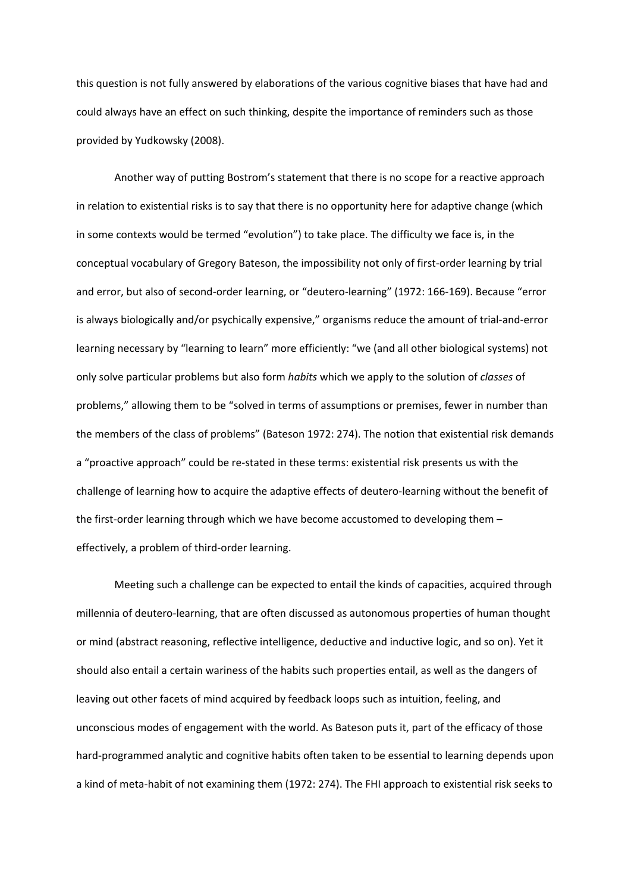this question is not fully answered by elaborations of the various cognitive biases that have had and could always have an effect on such thinking, despite the importance of reminders such as those provided by Yudkowsky (2008).

Another way of putting Bostrom's statement that there is no scope for a reactive approach in relation to existential risks is to say that there is no opportunity here for adaptive change (which in some contexts would be termed "evolution") to take place. The difficulty we face is, in the conceptual vocabulary of Gregory Bateson, the impossibility not only of first-order learning by trial and error, but also of second-order learning, or "deutero-learning" (1972: 166-169). Because "error is always biologically and/or psychically expensive," organisms reduce the amount of trial-and-error learning necessary by "learning to learn" more efficiently: "we (and all other biological systems) not only solve particular problems but also form *habits* which we apply to the solution of *classes* of problems," allowing them to be "solved in terms of assumptions or premises, fewer in number than the members of the class of problems" (Bateson 1972: 274). The notion that existential risk demands a "proactive approach" could be re-stated in these terms: existential risk presents us with the challenge of learning how to acquire the adaptive effects of deutero-learning without the benefit of the first-order learning through which we have become accustomed to developing them – effectively, a problem of third-order learning.

Meeting such a challenge can be expected to entail the kinds of capacities, acquired through millennia of deutero-learning, that are often discussed as autonomous properties of human thought or mind (abstract reasoning, reflective intelligence, deductive and inductive logic, and so on). Yet it should also entail a certain wariness of the habits such properties entail, as well as the dangers of leaving out other facets of mind acquired by feedback loops such as intuition, feeling, and unconscious modes of engagement with the world. As Bateson puts it, part of the efficacy of those hard-programmed analytic and cognitive habits often taken to be essential to learning depends upon a kind of meta-habit of not examining them (1972: 274). The FHI approach to existential risk seeks to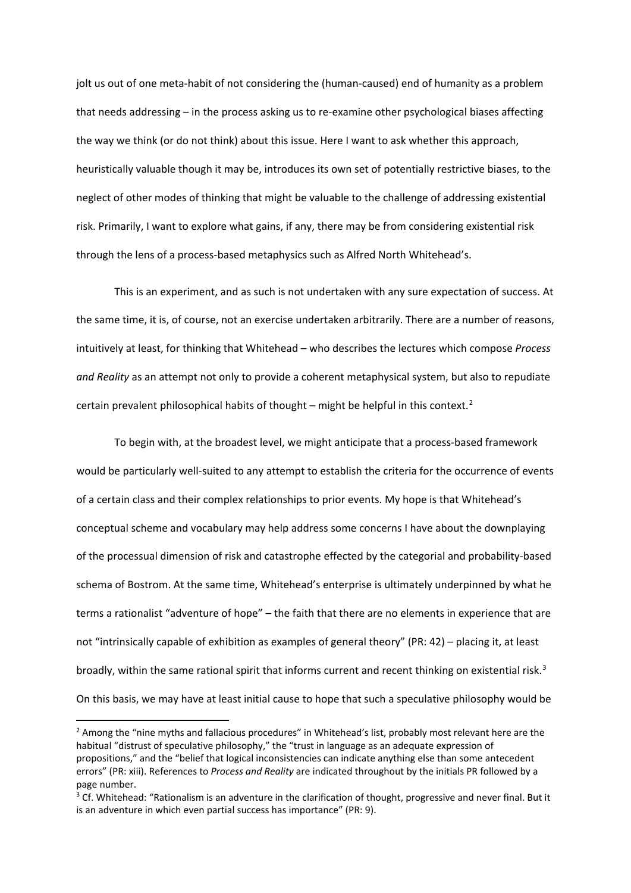jolt us out of one meta-habit of not considering the (human-caused) end of humanity as a problem that needs addressing – in the process asking us to re-examine other psychological biases affecting the way we think (or do not think) about this issue. Here I want to ask whether this approach, heuristically valuable though it may be, introduces its own set of potentially restrictive biases, to the neglect of other modes of thinking that might be valuable to the challenge of addressing existential risk. Primarily, I want to explore what gains, if any, there may be from considering existential risk through the lens of a process-based metaphysics such as Alfred North Whitehead's.

This is an experiment, and as such is not undertaken with any sure expectation of success. At the same time, it is, of course, not an exercise undertaken arbitrarily. There are a number of reasons, intuitively at least, for thinking that Whitehead – who describes the lectures which compose *Process and Reality* as an attempt not only to provide a coherent metaphysical system, but also to repudiate certain prevalent philosophical habits of thought – might be helpful in this context.<sup>[2](#page-3-0)</sup>

To begin with, at the broadest level, we might anticipate that a process-based framework would be particularly well-suited to any attempt to establish the criteria for the occurrence of events of a certain class and their complex relationships to prior events. My hope is that Whitehead's conceptual scheme and vocabulary may help address some concerns I have about the downplaying of the processual dimension of risk and catastrophe effected by the categorial and probability-based schema of Bostrom. At the same time, Whitehead's enterprise is ultimately underpinned by what he terms a rationalist "adventure of hope" – the faith that there are no elements in experience that are not "intrinsically capable of exhibition as examples of general theory" (PR: 42) – placing it, at least broadly, within the same rational spirit that informs current and recent thinking on existential risk.<sup>[3](#page-3-1)</sup> On this basis, we may have at least initial cause to hope that such a speculative philosophy would be

<span id="page-3-0"></span><sup>&</sup>lt;sup>2</sup> Among the "nine myths and fallacious procedures" in Whitehead's list, probably most relevant here are the habitual "distrust of speculative philosophy," the "trust in language as an adequate expression of propositions," and the "belief that logical inconsistencies can indicate anything else than some antecedent errors" (PR: xiii). References to *Process and Reality* are indicated throughout by the initials PR followed by a page number.

<span id="page-3-1"></span> $3$  Cf. Whitehead: "Rationalism is an adventure in the clarification of thought, progressive and never final. But it is an adventure in which even partial success has importance" (PR: 9).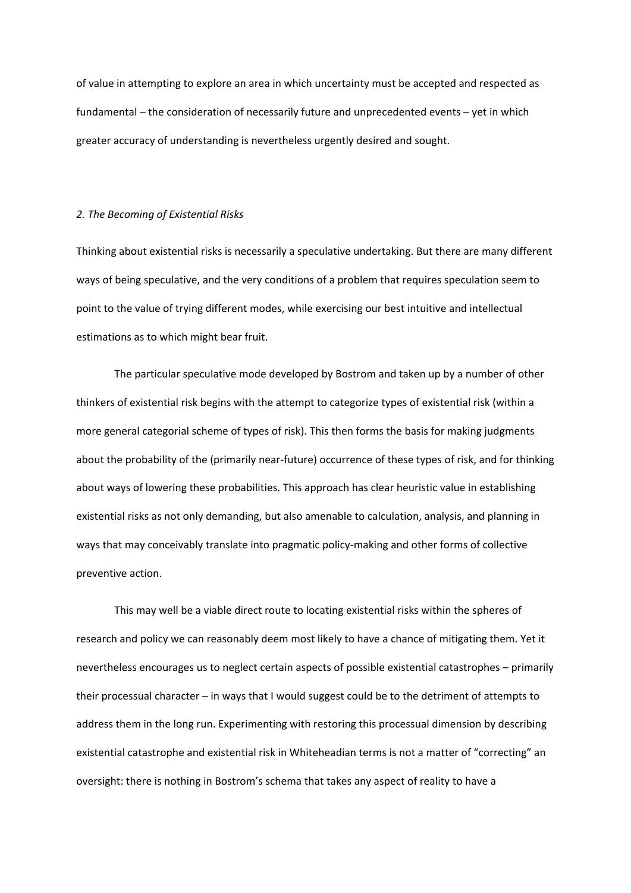of value in attempting to explore an area in which uncertainty must be accepted and respected as fundamental – the consideration of necessarily future and unprecedented events – yet in which greater accuracy of understanding is nevertheless urgently desired and sought.

#### *2. The Becoming of Existential Risks*

Thinking about existential risks is necessarily a speculative undertaking. But there are many different ways of being speculative, and the very conditions of a problem that requires speculation seem to point to the value of trying different modes, while exercising our best intuitive and intellectual estimations as to which might bear fruit.

The particular speculative mode developed by Bostrom and taken up by a number of other thinkers of existential risk begins with the attempt to categorize types of existential risk (within a more general categorial scheme of types of risk). This then forms the basis for making judgments about the probability of the (primarily near-future) occurrence of these types of risk, and for thinking about ways of lowering these probabilities. This approach has clear heuristic value in establishing existential risks as not only demanding, but also amenable to calculation, analysis, and planning in ways that may conceivably translate into pragmatic policy-making and other forms of collective preventive action.

This may well be a viable direct route to locating existential risks within the spheres of research and policy we can reasonably deem most likely to have a chance of mitigating them. Yet it nevertheless encourages us to neglect certain aspects of possible existential catastrophes – primarily their processual character – in ways that I would suggest could be to the detriment of attempts to address them in the long run. Experimenting with restoring this processual dimension by describing existential catastrophe and existential risk in Whiteheadian terms is not a matter of "correcting" an oversight: there is nothing in Bostrom's schema that takes any aspect of reality to have a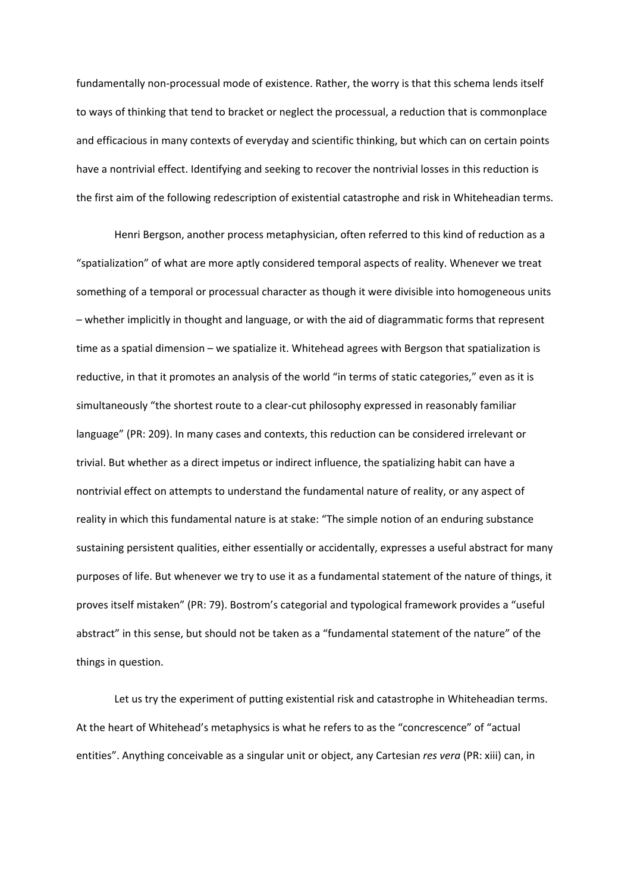fundamentally non-processual mode of existence. Rather, the worry is that this schema lends itself to ways of thinking that tend to bracket or neglect the processual, a reduction that is commonplace and efficacious in many contexts of everyday and scientific thinking, but which can on certain points have a nontrivial effect. Identifying and seeking to recover the nontrivial losses in this reduction is the first aim of the following redescription of existential catastrophe and risk in Whiteheadian terms.

Henri Bergson, another process metaphysician, often referred to this kind of reduction as a "spatialization" of what are more aptly considered temporal aspects of reality. Whenever we treat something of a temporal or processual character as though it were divisible into homogeneous units – whether implicitly in thought and language, or with the aid of diagrammatic forms that represent time as a spatial dimension – we spatialize it. Whitehead agrees with Bergson that spatialization is reductive, in that it promotes an analysis of the world "in terms of static categories," even as it is simultaneously "the shortest route to a clear-cut philosophy expressed in reasonably familiar language" (PR: 209). In many cases and contexts, this reduction can be considered irrelevant or trivial. But whether as a direct impetus or indirect influence, the spatializing habit can have a nontrivial effect on attempts to understand the fundamental nature of reality, or any aspect of reality in which this fundamental nature is at stake: "The simple notion of an enduring substance sustaining persistent qualities, either essentially or accidentally, expresses a useful abstract for many purposes of life. But whenever we try to use it as a fundamental statement of the nature of things, it proves itself mistaken" (PR: 79). Bostrom's categorial and typological framework provides a "useful abstract" in this sense, but should not be taken as a "fundamental statement of the nature" of the things in question.

Let us try the experiment of putting existential risk and catastrophe in Whiteheadian terms. At the heart of Whitehead's metaphysics is what he refers to as the "concrescence" of "actual entities". Anything conceivable as a singular unit or object, any Cartesian *res vera* (PR: xiii) can, in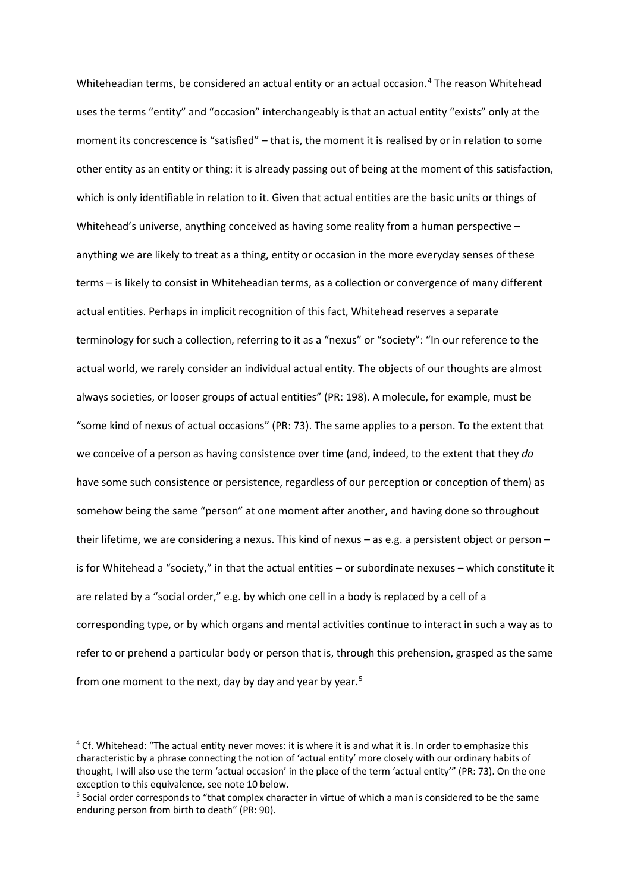Whiteheadian terms, be considered an actual entity or an actual occasion.<sup>[4](#page-6-0)</sup> The reason Whitehead uses the terms "entity" and "occasion" interchangeably is that an actual entity "exists" only at the moment its concrescence is "satisfied" – that is, the moment it is realised by or in relation to some other entity as an entity or thing: it is already passing out of being at the moment of this satisfaction, which is only identifiable in relation to it. Given that actual entities are the basic units or things of Whitehead's universe, anything conceived as having some reality from a human perspective – anything we are likely to treat as a thing, entity or occasion in the more everyday senses of these terms – is likely to consist in Whiteheadian terms, as a collection or convergence of many different actual entities. Perhaps in implicit recognition of this fact, Whitehead reserves a separate terminology for such a collection, referring to it as a "nexus" or "society": "In our reference to the actual world, we rarely consider an individual actual entity. The objects of our thoughts are almost always societies, or looser groups of actual entities" (PR: 198). A molecule, for example, must be "some kind of nexus of actual occasions" (PR: 73). The same applies to a person. To the extent that we conceive of a person as having consistence over time (and, indeed, to the extent that they *do*  have some such consistence or persistence, regardless of our perception or conception of them) as somehow being the same "person" at one moment after another, and having done so throughout their lifetime, we are considering a nexus. This kind of nexus – as e.g. a persistent object or person – is for Whitehead a "society," in that the actual entities – or subordinate nexuses – which constitute it are related by a "social order," e.g. by which one cell in a body is replaced by a cell of a corresponding type, or by which organs and mental activities continue to interact in such a way as to refer to or prehend a particular body or person that is, through this prehension, grasped as the same from one moment to the next, day by day and year by year.<sup>[5](#page-6-1)</sup>

<span id="page-6-0"></span><sup>&</sup>lt;sup>4</sup> Cf. Whitehead: "The actual entity never moves: it is where it is and what it is. In order to emphasize this characteristic by a phrase connecting the notion of 'actual entity' more closely with our ordinary habits of thought, I will also use the term 'actual occasion' in the place of the term 'actual entity'" (PR: 73). On the one exception to this equivalence, see note 10 below.

<span id="page-6-1"></span><sup>5</sup> Social order corresponds to "that complex character in virtue of which a man is considered to be the same enduring person from birth to death" (PR: 90).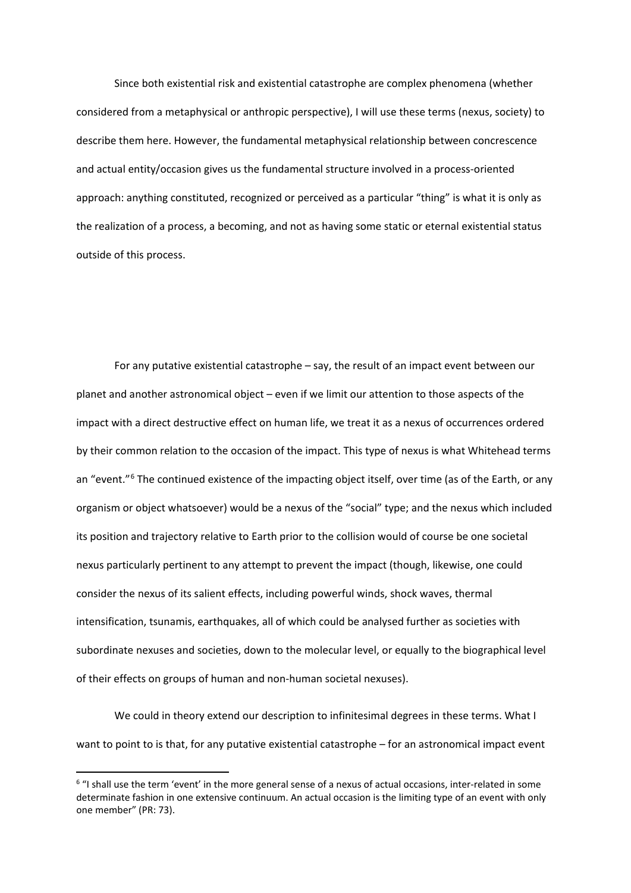Since both existential risk and existential catastrophe are complex phenomena (whether considered from a metaphysical or anthropic perspective), I will use these terms (nexus, society) to describe them here. However, the fundamental metaphysical relationship between concrescence and actual entity/occasion gives us the fundamental structure involved in a process-oriented approach: anything constituted, recognized or perceived as a particular "thing" is what it is only as the realization of a process, a becoming, and not as having some static or eternal existential status outside of this process.

For any putative existential catastrophe – say, the result of an impact event between our planet and another astronomical object – even if we limit our attention to those aspects of the impact with a direct destructive effect on human life, we treat it as a nexus of occurrences ordered by their common relation to the occasion of the impact. This type of nexus is what Whitehead terms an "event."<sup>[6](#page-7-0)</sup> The continued existence of the impacting object itself, over time (as of the Earth, or any organism or object whatsoever) would be a nexus of the "social" type; and the nexus which included its position and trajectory relative to Earth prior to the collision would of course be one societal nexus particularly pertinent to any attempt to prevent the impact (though, likewise, one could consider the nexus of its salient effects, including powerful winds, shock waves, thermal intensification, tsunamis, earthquakes, all of which could be analysed further as societies with subordinate nexuses and societies, down to the molecular level, or equally to the biographical level of their effects on groups of human and non-human societal nexuses).

We could in theory extend our description to infinitesimal degrees in these terms. What I want to point to is that, for any putative existential catastrophe – for an astronomical impact event

<span id="page-7-0"></span> <sup>6</sup> "I shall use the term 'event' in the more general sense of a nexus of actual occasions, inter-related in some determinate fashion in one extensive continuum. An actual occasion is the limiting type of an event with only one member" (PR: 73).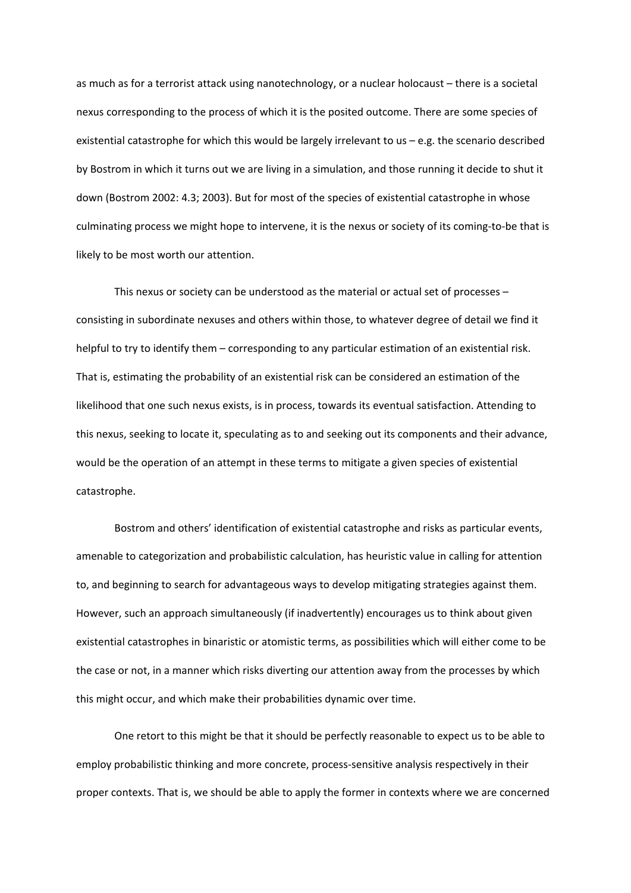as much as for a terrorist attack using nanotechnology, or a nuclear holocaust – there is a societal nexus corresponding to the process of which it is the posited outcome. There are some species of existential catastrophe for which this would be largely irrelevant to us – e.g. the scenario described by Bostrom in which it turns out we are living in a simulation, and those running it decide to shut it down (Bostrom 2002: 4.3; 2003). But for most of the species of existential catastrophe in whose culminating process we might hope to intervene, it is the nexus or society of its coming-to-be that is likely to be most worth our attention.

This nexus or society can be understood as the material or actual set of processes – consisting in subordinate nexuses and others within those, to whatever degree of detail we find it helpful to try to identify them – corresponding to any particular estimation of an existential risk. That is, estimating the probability of an existential risk can be considered an estimation of the likelihood that one such nexus exists, is in process, towards its eventual satisfaction. Attending to this nexus, seeking to locate it, speculating as to and seeking out its components and their advance, would be the operation of an attempt in these terms to mitigate a given species of existential catastrophe.

Bostrom and others' identification of existential catastrophe and risks as particular events, amenable to categorization and probabilistic calculation, has heuristic value in calling for attention to, and beginning to search for advantageous ways to develop mitigating strategies against them. However, such an approach simultaneously (if inadvertently) encourages us to think about given existential catastrophes in binaristic or atomistic terms, as possibilities which will either come to be the case or not, in a manner which risks diverting our attention away from the processes by which this might occur, and which make their probabilities dynamic over time.

One retort to this might be that it should be perfectly reasonable to expect us to be able to employ probabilistic thinking and more concrete, process-sensitive analysis respectively in their proper contexts. That is, we should be able to apply the former in contexts where we are concerned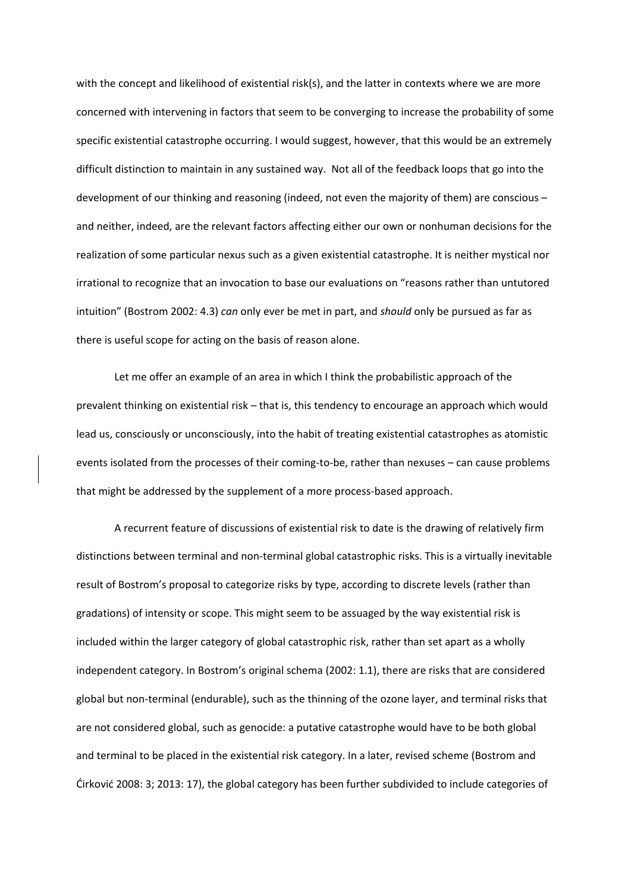with the concept and likelihood of existential risk(s), and the latter in contexts where we are more concerned with intervening in factors that seem to be converging to increase the probability of some specific existential catastrophe occurring. I would suggest, however, that this would be an extremely difficult distinction to maintain in any sustained way. Not all of the feedback loops that go into the development of our thinking and reasoning (indeed, not even the majority of them) are conscious – and neither, indeed, are the relevant factors affecting either our own or nonhuman decisions for the realization of some particular nexus such as a given existential catastrophe. It is neither mystical nor irrational to recognize that an invocation to base our evaluations on "reasons rather than untutored intuition" (Bostrom 2002: 4.3) *can* only ever be met in part, and *should* only be pursued as far as there is useful scope for acting on the basis of reason alone.

Let me offer an example of an area in which I think the probabilistic approach of the prevalent thinking on existential risk – that is, this tendency to encourage an approach which would lead us, consciously or unconsciously, into the habit of treating existential catastrophes as atomistic events isolated from the processes of their coming-to-be, rather than nexuses – can cause problems that might be addressed by the supplement of a more process-based approach.

A recurrent feature of discussions of existential risk to date is the drawing of relatively firm distinctions between terminal and non-terminal global catastrophic risks. This is a virtually inevitable result of Bostrom's proposal to categorize risks by type, according to discrete levels (rather than gradations) of intensity or scope. This might seem to be assuaged by the way existential risk is included within the larger category of global catastrophic risk, rather than set apart as a wholly independent category. In Bostrom's original schema (2002: 1.1), there are risks that are considered global but non-terminal (endurable), such as the thinning of the ozone layer, and terminal risks that are not considered global, such as genocide: a putative catastrophe would have to be both global and terminal to be placed in the existential risk category. In a later, revised scheme (Bostrom and Ćirković 2008: 3; 2013: 17), the global category has been further subdivided to include categories of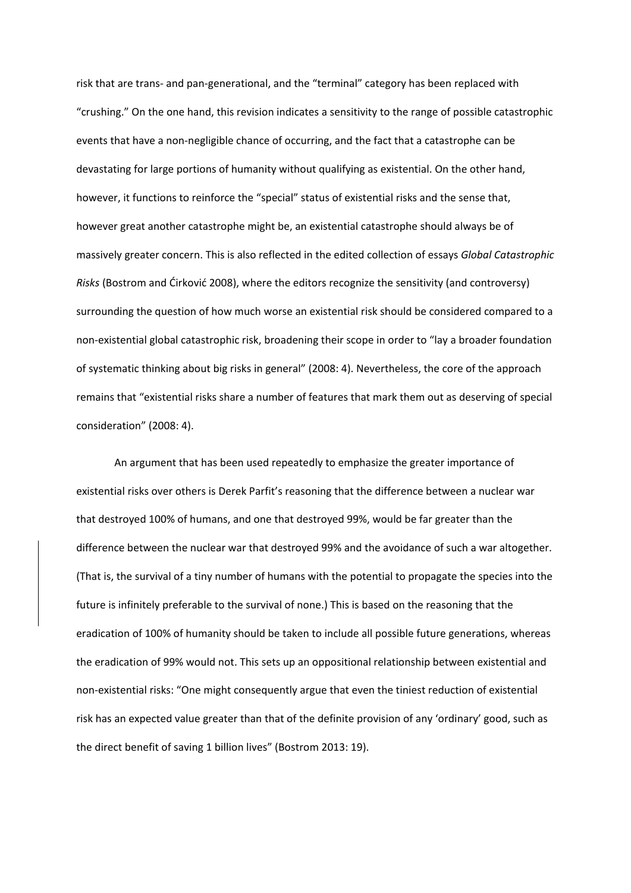risk that are trans- and pan-generational, and the "terminal" category has been replaced with "crushing." On the one hand, this revision indicates a sensitivity to the range of possible catastrophic events that have a non-negligible chance of occurring, and the fact that a catastrophe can be devastating for large portions of humanity without qualifying as existential. On the other hand, however, it functions to reinforce the "special" status of existential risks and the sense that, however great another catastrophe might be, an existential catastrophe should always be of massively greater concern. This is also reflected in the edited collection of essays *Global Catastrophic Risks* (Bostrom and Ćirković 2008), where the editors recognize the sensitivity (and controversy) surrounding the question of how much worse an existential risk should be considered compared to a non-existential global catastrophic risk, broadening their scope in order to "lay a broader foundation of systematic thinking about big risks in general" (2008: 4). Nevertheless, the core of the approach remains that "existential risks share a number of features that mark them out as deserving of special consideration" (2008: 4).

An argument that has been used repeatedly to emphasize the greater importance of existential risks over others is Derek Parfit's reasoning that the difference between a nuclear war that destroyed 100% of humans, and one that destroyed 99%, would be far greater than the difference between the nuclear war that destroyed 99% and the avoidance of such a war altogether. (That is, the survival of a tiny number of humans with the potential to propagate the species into the future is infinitely preferable to the survival of none.) This is based on the reasoning that the eradication of 100% of humanity should be taken to include all possible future generations, whereas the eradication of 99% would not. This sets up an oppositional relationship between existential and non-existential risks: "One might consequently argue that even the tiniest reduction of existential risk has an expected value greater than that of the definite provision of any 'ordinary' good, such as the direct benefit of saving 1 billion lives" (Bostrom 2013: 19).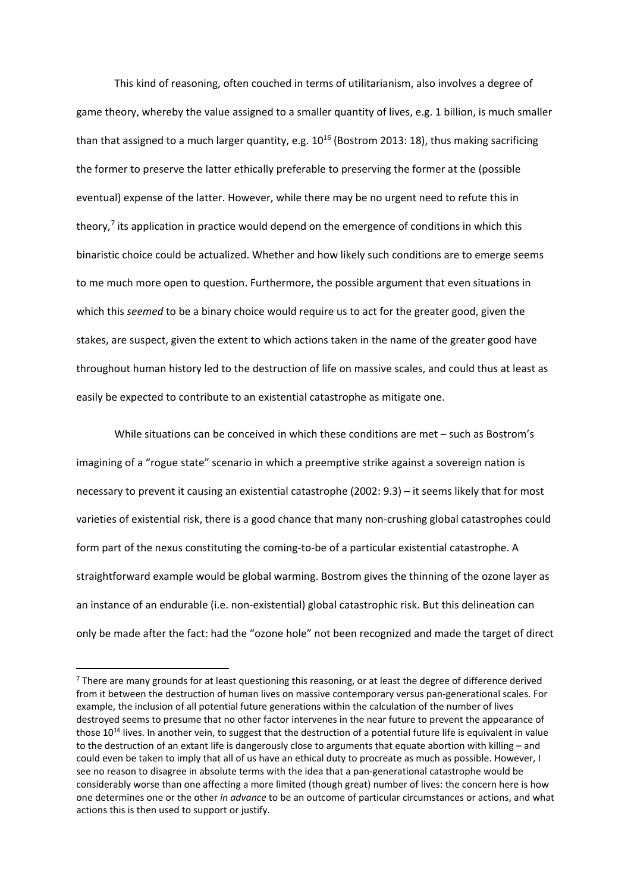This kind of reasoning, often couched in terms of utilitarianism, also involves a degree of game theory, whereby the value assigned to a smaller quantity of lives, e.g. 1 billion, is much smaller than that assigned to a much larger quantity, e.g.  $10^{16}$  (Bostrom 2013: 18), thus making sacrificing the former to preserve the latter ethically preferable to preserving the former at the (possible eventual) expense of the latter. However, while there may be no urgent need to refute this in theory, $7$  its application in practice would depend on the emergence of conditions in which this binaristic choice could be actualized. Whether and how likely such conditions are to emerge seems to me much more open to question. Furthermore, the possible argument that even situations in which this *seemed* to be a binary choice would require us to act for the greater good, given the stakes, are suspect, given the extent to which actions taken in the name of the greater good have throughout human history led to the destruction of life on massive scales, and could thus at least as easily be expected to contribute to an existential catastrophe as mitigate one.

While situations can be conceived in which these conditions are met – such as Bostrom's imagining of a "rogue state" scenario in which a preemptive strike against a sovereign nation is necessary to prevent it causing an existential catastrophe (2002: 9.3) – it seems likely that for most varieties of existential risk, there is a good chance that many non-crushing global catastrophes could form part of the nexus constituting the coming-to-be of a particular existential catastrophe. A straightforward example would be global warming. Bostrom gives the thinning of the ozone layer as an instance of an endurable (i.e. non-existential) global catastrophic risk. But this delineation can only be made after the fact: had the "ozone hole" not been recognized and made the target of direct

<span id="page-11-0"></span><sup>&</sup>lt;sup>7</sup> There are many grounds for at least questioning this reasoning, or at least the degree of difference derived from it between the destruction of human lives on massive contemporary versus pan-generational scales. For example, the inclusion of all potential future generations within the calculation of the number of lives destroyed seems to presume that no other factor intervenes in the near future to prevent the appearance of those  $10^{16}$  lives. In another vein, to suggest that the destruction of a potential future life is equivalent in value to the destruction of an extant life is dangerously close to arguments that equate abortion with killing – and could even be taken to imply that all of us have an ethical duty to procreate as much as possible. However, I see no reason to disagree in absolute terms with the idea that a pan-generational catastrophe would be considerably worse than one affecting a more limited (though great) number of lives: the concern here is how one determines one or the other *in advance* to be an outcome of particular circumstances or actions, and what actions this is then used to support or justify.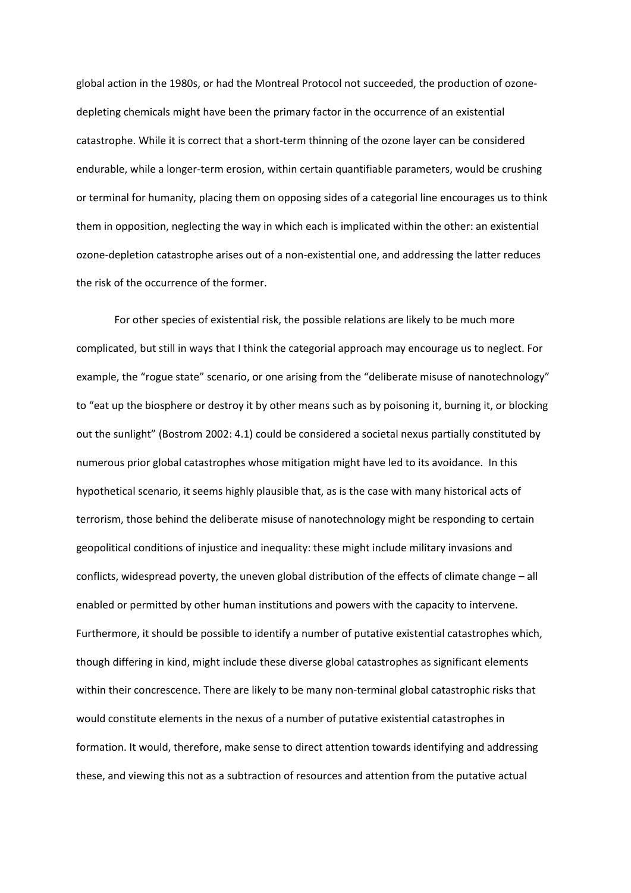global action in the 1980s, or had the Montreal Protocol not succeeded, the production of ozonedepleting chemicals might have been the primary factor in the occurrence of an existential catastrophe. While it is correct that a short-term thinning of the ozone layer can be considered endurable, while a longer-term erosion, within certain quantifiable parameters, would be crushing or terminal for humanity, placing them on opposing sides of a categorial line encourages us to think them in opposition, neglecting the way in which each is implicated within the other: an existential ozone-depletion catastrophe arises out of a non-existential one, and addressing the latter reduces the risk of the occurrence of the former.

For other species of existential risk, the possible relations are likely to be much more complicated, but still in ways that I think the categorial approach may encourage us to neglect. For example, the "rogue state" scenario, or one arising from the "deliberate misuse of nanotechnology" to "eat up the biosphere or destroy it by other means such as by poisoning it, burning it, or blocking out the sunlight" (Bostrom 2002: 4.1) could be considered a societal nexus partially constituted by numerous prior global catastrophes whose mitigation might have led to its avoidance. In this hypothetical scenario, it seems highly plausible that, as is the case with many historical acts of terrorism, those behind the deliberate misuse of nanotechnology might be responding to certain geopolitical conditions of injustice and inequality: these might include military invasions and conflicts, widespread poverty, the uneven global distribution of the effects of climate change – all enabled or permitted by other human institutions and powers with the capacity to intervene. Furthermore, it should be possible to identify a number of putative existential catastrophes which, though differing in kind, might include these diverse global catastrophes as significant elements within their concrescence. There are likely to be many non-terminal global catastrophic risks that would constitute elements in the nexus of a number of putative existential catastrophes in formation. It would, therefore, make sense to direct attention towards identifying and addressing these, and viewing this not as a subtraction of resources and attention from the putative actual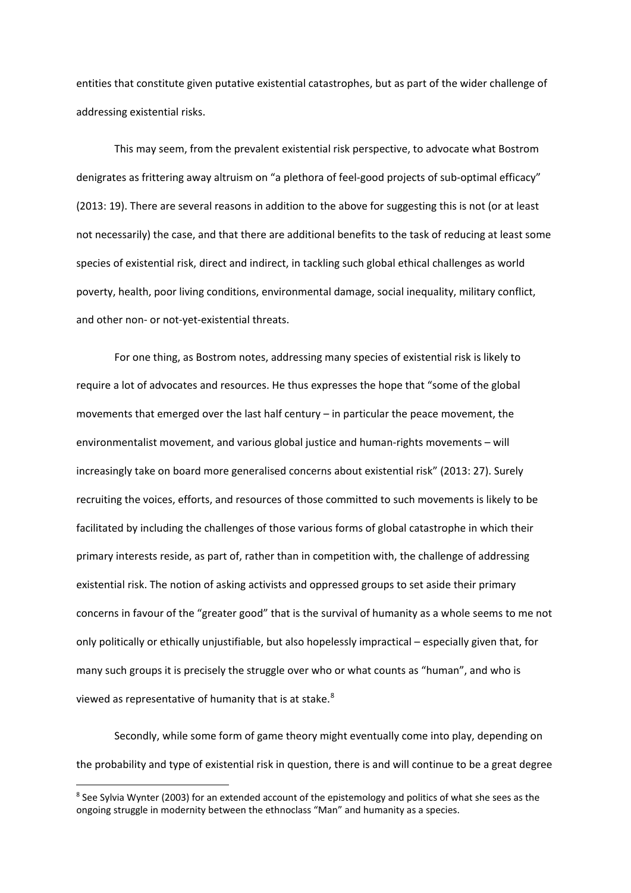entities that constitute given putative existential catastrophes, but as part of the wider challenge of addressing existential risks.

This may seem, from the prevalent existential risk perspective, to advocate what Bostrom denigrates as frittering away altruism on "a plethora of feel-good projects of sub-optimal efficacy" (2013: 19). There are several reasons in addition to the above for suggesting this is not (or at least not necessarily) the case, and that there are additional benefits to the task of reducing at least some species of existential risk, direct and indirect, in tackling such global ethical challenges as world poverty, health, poor living conditions, environmental damage, social inequality, military conflict, and other non- or not-yet-existential threats.

For one thing, as Bostrom notes, addressing many species of existential risk is likely to require a lot of advocates and resources. He thus expresses the hope that "some of the global movements that emerged over the last half century – in particular the peace movement, the environmentalist movement, and various global justice and human-rights movements – will increasingly take on board more generalised concerns about existential risk" (2013: 27). Surely recruiting the voices, efforts, and resources of those committed to such movements is likely to be facilitated by including the challenges of those various forms of global catastrophe in which their primary interests reside, as part of, rather than in competition with, the challenge of addressing existential risk. The notion of asking activists and oppressed groups to set aside their primary concerns in favour of the "greater good" that is the survival of humanity as a whole seems to me not only politically or ethically unjustifiable, but also hopelessly impractical – especially given that, for many such groups it is precisely the struggle over who or what counts as "human", and who is viewed as representative of humanity that is at stake.<sup>[8](#page-13-0)</sup>

Secondly, while some form of game theory might eventually come into play, depending on the probability and type of existential risk in question, there is and will continue to be a great degree

**.** 

<span id="page-13-0"></span><sup>8</sup> See Sylvia Wynter (2003) for an extended account of the epistemology and politics of what she sees as the ongoing struggle in modernity between the ethnoclass "Man" and humanity as a species.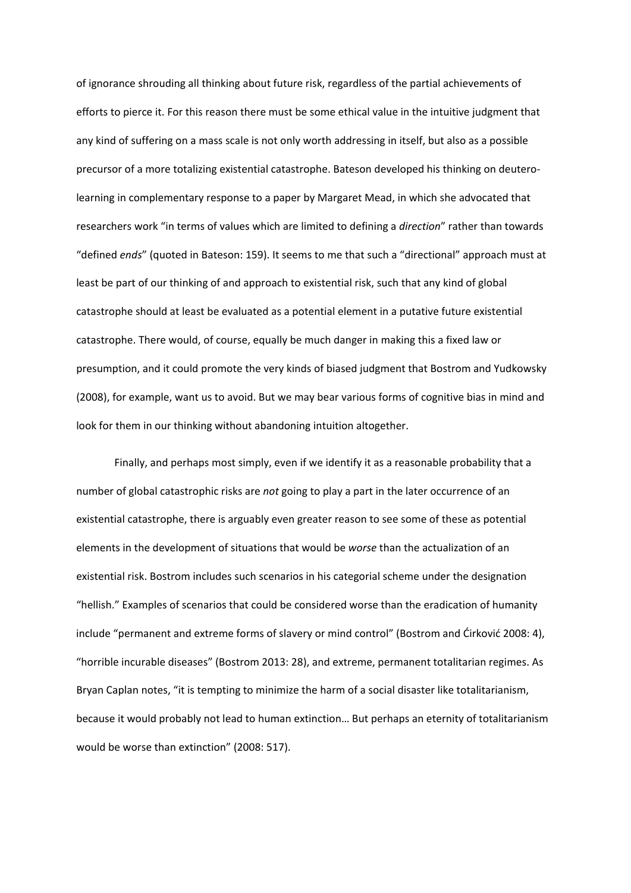of ignorance shrouding all thinking about future risk, regardless of the partial achievements of efforts to pierce it. For this reason there must be some ethical value in the intuitive judgment that any kind of suffering on a mass scale is not only worth addressing in itself, but also as a possible precursor of a more totalizing existential catastrophe. Bateson developed his thinking on deuterolearning in complementary response to a paper by Margaret Mead, in which she advocated that researchers work "in terms of values which are limited to defining a *direction*" rather than towards "defined *ends*" (quoted in Bateson: 159). It seems to me that such a "directional" approach must at least be part of our thinking of and approach to existential risk, such that any kind of global catastrophe should at least be evaluated as a potential element in a putative future existential catastrophe. There would, of course, equally be much danger in making this a fixed law or presumption, and it could promote the very kinds of biased judgment that Bostrom and Yudkowsky (2008), for example, want us to avoid. But we may bear various forms of cognitive bias in mind and look for them in our thinking without abandoning intuition altogether.

Finally, and perhaps most simply, even if we identify it as a reasonable probability that a number of global catastrophic risks are *not* going to play a part in the later occurrence of an existential catastrophe, there is arguably even greater reason to see some of these as potential elements in the development of situations that would be *worse* than the actualization of an existential risk. Bostrom includes such scenarios in his categorial scheme under the designation "hellish." Examples of scenarios that could be considered worse than the eradication of humanity include "permanent and extreme forms of slavery or mind control" (Bostrom and Ćirković 2008: 4), "horrible incurable diseases" (Bostrom 2013: 28), and extreme, permanent totalitarian regimes. As Bryan Caplan notes, "it is tempting to minimize the harm of a social disaster like totalitarianism, because it would probably not lead to human extinction… But perhaps an eternity of totalitarianism would be worse than extinction" (2008: 517).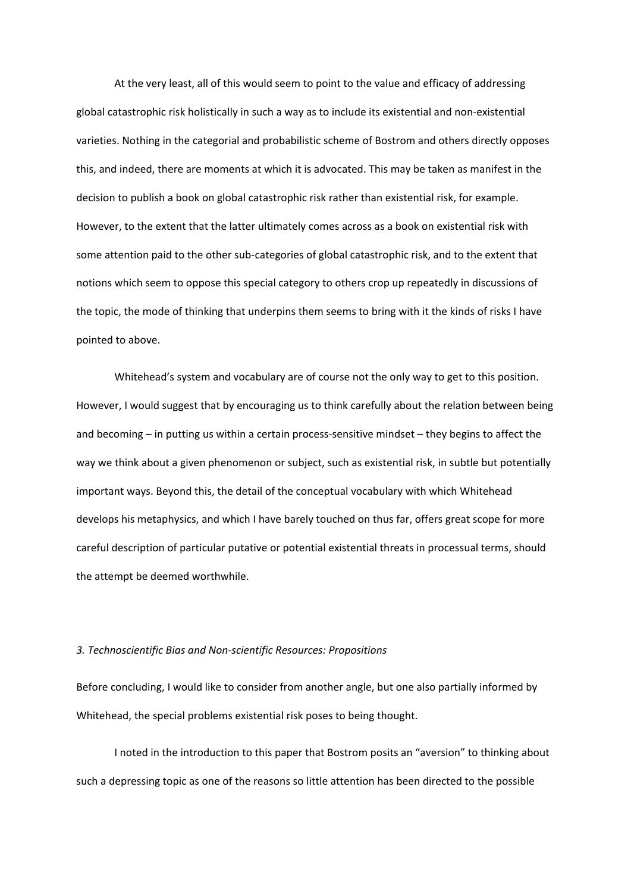At the very least, all of this would seem to point to the value and efficacy of addressing global catastrophic risk holistically in such a way as to include its existential and non-existential varieties. Nothing in the categorial and probabilistic scheme of Bostrom and others directly opposes this, and indeed, there are moments at which it is advocated. This may be taken as manifest in the decision to publish a book on global catastrophic risk rather than existential risk, for example. However, to the extent that the latter ultimately comes across as a book on existential risk with some attention paid to the other sub-categories of global catastrophic risk, and to the extent that notions which seem to oppose this special category to others crop up repeatedly in discussions of the topic, the mode of thinking that underpins them seems to bring with it the kinds of risks I have pointed to above.

Whitehead's system and vocabulary are of course not the only way to get to this position. However, I would suggest that by encouraging us to think carefully about the relation between being and becoming – in putting us within a certain process-sensitive mindset – they begins to affect the way we think about a given phenomenon or subject, such as existential risk, in subtle but potentially important ways. Beyond this, the detail of the conceptual vocabulary with which Whitehead develops his metaphysics, and which I have barely touched on thus far, offers great scope for more careful description of particular putative or potential existential threats in processual terms, should the attempt be deemed worthwhile.

#### *3. Technoscientific Bias and Non-scientific Resources: Propositions*

Before concluding, I would like to consider from another angle, but one also partially informed by Whitehead, the special problems existential risk poses to being thought.

I noted in the introduction to this paper that Bostrom posits an "aversion" to thinking about such a depressing topic as one of the reasons so little attention has been directed to the possible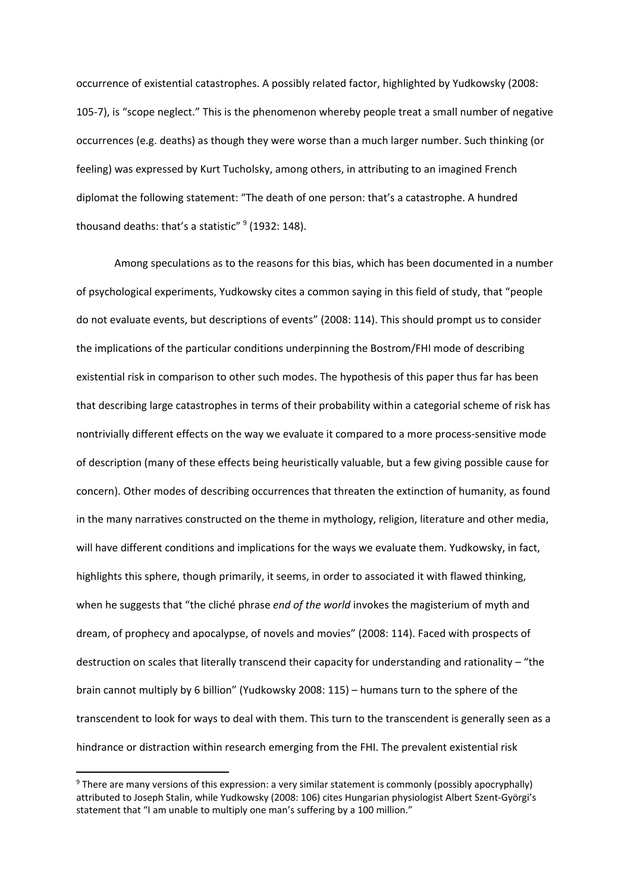occurrence of existential catastrophes. A possibly related factor, highlighted by Yudkowsky (2008: 105-7), is "scope neglect." This is the phenomenon whereby people treat a small number of negative occurrences (e.g. deaths) as though they were worse than a much larger number. Such thinking (or feeling) was expressed by Kurt Tucholsky, among others, in attributing to an imagined French diplomat the following statement: "The death of one person: that's a catastrophe. A hundred thousand deaths: that's a statistic"  $9$  (1932: 148).

Among speculations as to the reasons for this bias, which has been documented in a number of psychological experiments, Yudkowsky cites a common saying in this field of study, that "people do not evaluate events, but descriptions of events" (2008: 114). This should prompt us to consider the implications of the particular conditions underpinning the Bostrom/FHI mode of describing existential risk in comparison to other such modes. The hypothesis of this paper thus far has been that describing large catastrophes in terms of their probability within a categorial scheme of risk has nontrivially different effects on the way we evaluate it compared to a more process-sensitive mode of description (many of these effects being heuristically valuable, but a few giving possible cause for concern). Other modes of describing occurrences that threaten the extinction of humanity, as found in the many narratives constructed on the theme in mythology, religion, literature and other media, will have different conditions and implications for the ways we evaluate them. Yudkowsky, in fact, highlights this sphere, though primarily, it seems, in order to associated it with flawed thinking, when he suggests that "the cliché phrase *end of the world* invokes the magisterium of myth and dream, of prophecy and apocalypse, of novels and movies" (2008: 114). Faced with prospects of destruction on scales that literally transcend their capacity for understanding and rationality – "the brain cannot multiply by 6 billion" (Yudkowsky 2008: 115) – humans turn to the sphere of the transcendent to look for ways to deal with them. This turn to the transcendent is generally seen as a hindrance or distraction within research emerging from the FHI. The prevalent existential risk

<span id="page-16-0"></span> <sup>9</sup> There are many versions of this expression: a very similar statement is commonly (possibly apocryphally) attributed to Joseph Stalin, while Yudkowsky (2008: 106) cites Hungarian physiologist Albert Szent-Györgi's statement that "I am unable to multiply one man's suffering by a 100 million."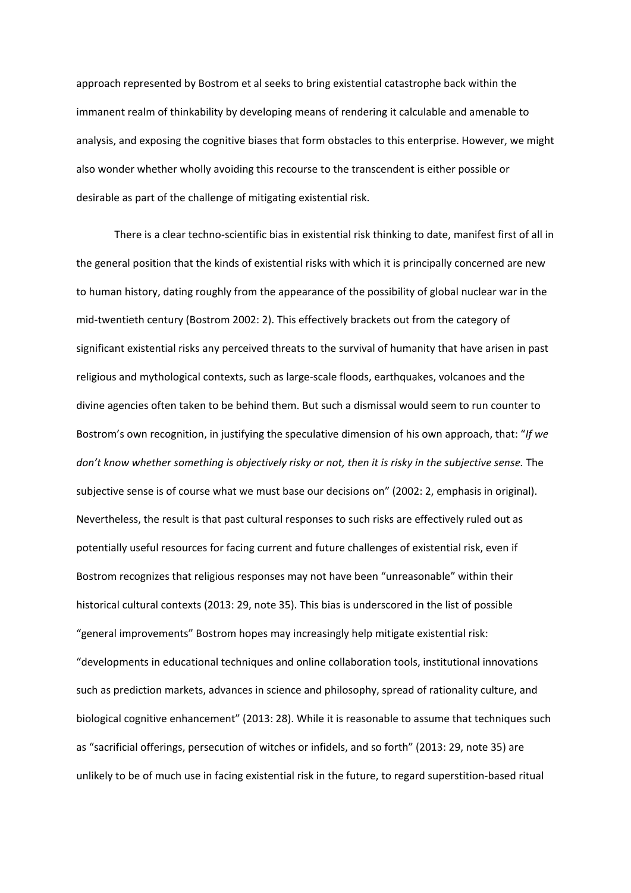approach represented by Bostrom et al seeks to bring existential catastrophe back within the immanent realm of thinkability by developing means of rendering it calculable and amenable to analysis, and exposing the cognitive biases that form obstacles to this enterprise. However, we might also wonder whether wholly avoiding this recourse to the transcendent is either possible or desirable as part of the challenge of mitigating existential risk.

There is a clear techno-scientific bias in existential risk thinking to date, manifest first of all in the general position that the kinds of existential risks with which it is principally concerned are new to human history, dating roughly from the appearance of the possibility of global nuclear war in the mid-twentieth century (Bostrom 2002: 2). This effectively brackets out from the category of significant existential risks any perceived threats to the survival of humanity that have arisen in past religious and mythological contexts, such as large-scale floods, earthquakes, volcanoes and the divine agencies often taken to be behind them. But such a dismissal would seem to run counter to Bostrom's own recognition, in justifying the speculative dimension of his own approach, that: "*If we*  don't know whether something is objectively risky or not, then it is risky in the subjective sense. The subjective sense is of course what we must base our decisions on" (2002: 2, emphasis in original). Nevertheless, the result is that past cultural responses to such risks are effectively ruled out as potentially useful resources for facing current and future challenges of existential risk, even if Bostrom recognizes that religious responses may not have been "unreasonable" within their historical cultural contexts (2013: 29, note 35). This bias is underscored in the list of possible "general improvements" Bostrom hopes may increasingly help mitigate existential risk: "developments in educational techniques and online collaboration tools, institutional innovations such as prediction markets, advances in science and philosophy, spread of rationality culture, and biological cognitive enhancement" (2013: 28). While it is reasonable to assume that techniques such as "sacrificial offerings, persecution of witches or infidels, and so forth" (2013: 29, note 35) are unlikely to be of much use in facing existential risk in the future, to regard superstition-based ritual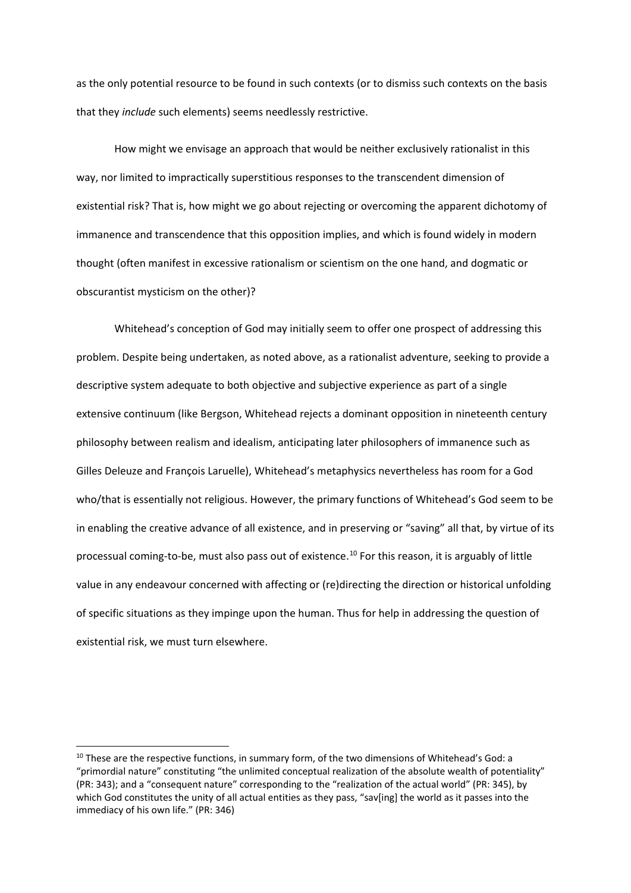as the only potential resource to be found in such contexts (or to dismiss such contexts on the basis that they *include* such elements) seems needlessly restrictive.

How might we envisage an approach that would be neither exclusively rationalist in this way, nor limited to impractically superstitious responses to the transcendent dimension of existential risk? That is, how might we go about rejecting or overcoming the apparent dichotomy of immanence and transcendence that this opposition implies, and which is found widely in modern thought (often manifest in excessive rationalism or scientism on the one hand, and dogmatic or obscurantist mysticism on the other)?

Whitehead's conception of God may initially seem to offer one prospect of addressing this problem. Despite being undertaken, as noted above, as a rationalist adventure, seeking to provide a descriptive system adequate to both objective and subjective experience as part of a single extensive continuum (like Bergson, Whitehead rejects a dominant opposition in nineteenth century philosophy between realism and idealism, anticipating later philosophers of immanence such as Gilles Deleuze and François Laruelle), Whitehead's metaphysics nevertheless has room for a God who/that is essentially not religious. However, the primary functions of Whitehead's God seem to be in enabling the creative advance of all existence, and in preserving or "saving" all that, by virtue of its processual coming-to-be, must also pass out of existence.[10](#page-18-0) For this reason, it is arguably of little value in any endeavour concerned with affecting or (re)directing the direction or historical unfolding of specific situations as they impinge upon the human. Thus for help in addressing the question of existential risk, we must turn elsewhere.

<span id="page-18-0"></span><sup>&</sup>lt;sup>10</sup> These are the respective functions, in summary form, of the two dimensions of Whitehead's God: a "primordial nature" constituting "the unlimited conceptual realization of the absolute wealth of potentiality" (PR: 343); and a "consequent nature" corresponding to the "realization of the actual world" (PR: 345), by which God constitutes the unity of all actual entities as they pass, "say[ing] the world as it passes into the immediacy of his own life." (PR: 346)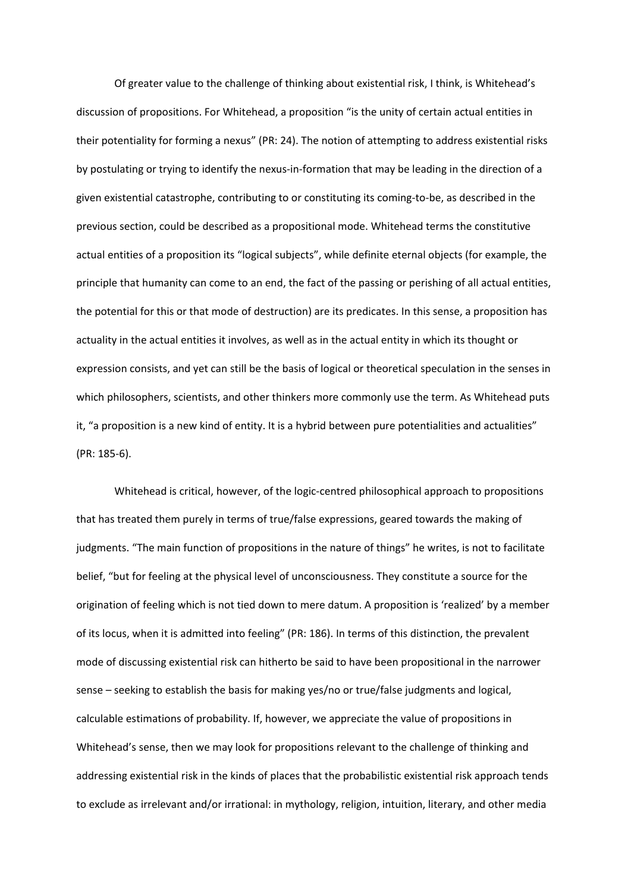Of greater value to the challenge of thinking about existential risk, I think, is Whitehead's discussion of propositions. For Whitehead, a proposition "is the unity of certain actual entities in their potentiality for forming a nexus" (PR: 24). The notion of attempting to address existential risks by postulating or trying to identify the nexus-in-formation that may be leading in the direction of a given existential catastrophe, contributing to or constituting its coming-to-be, as described in the previous section, could be described as a propositional mode. Whitehead terms the constitutive actual entities of a proposition its "logical subjects", while definite eternal objects (for example, the principle that humanity can come to an end, the fact of the passing or perishing of all actual entities, the potential for this or that mode of destruction) are its predicates. In this sense, a proposition has actuality in the actual entities it involves, as well as in the actual entity in which its thought or expression consists, and yet can still be the basis of logical or theoretical speculation in the senses in which philosophers, scientists, and other thinkers more commonly use the term. As Whitehead puts it, "a proposition is a new kind of entity. It is a hybrid between pure potentialities and actualities" (PR: 185-6).

Whitehead is critical, however, of the logic-centred philosophical approach to propositions that has treated them purely in terms of true/false expressions, geared towards the making of judgments. "The main function of propositions in the nature of things" he writes, is not to facilitate belief, "but for feeling at the physical level of unconsciousness. They constitute a source for the origination of feeling which is not tied down to mere datum. A proposition is 'realized' by a member of its locus, when it is admitted into feeling" (PR: 186). In terms of this distinction, the prevalent mode of discussing existential risk can hitherto be said to have been propositional in the narrower sense – seeking to establish the basis for making yes/no or true/false judgments and logical, calculable estimations of probability. If, however, we appreciate the value of propositions in Whitehead's sense, then we may look for propositions relevant to the challenge of thinking and addressing existential risk in the kinds of places that the probabilistic existential risk approach tends to exclude as irrelevant and/or irrational: in mythology, religion, intuition, literary, and other media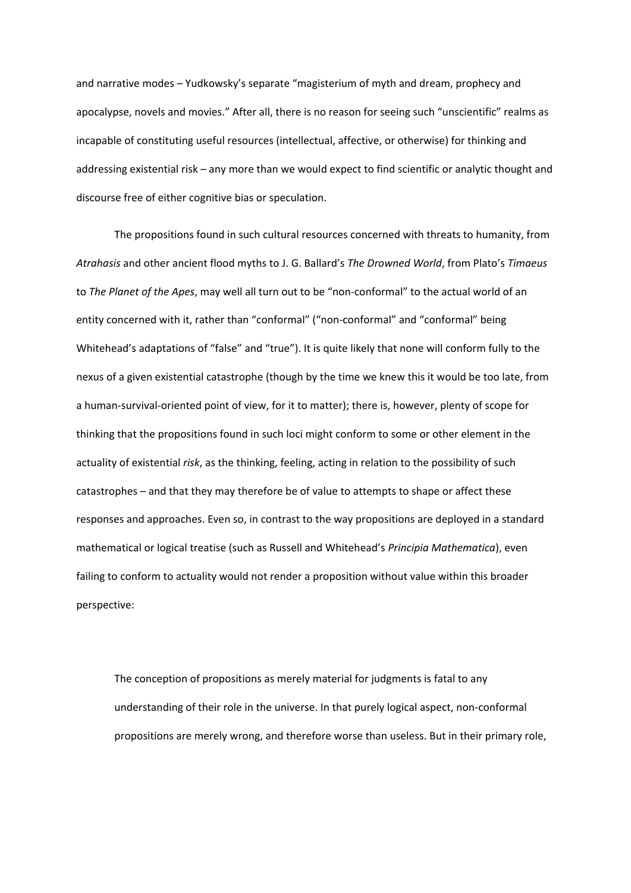and narrative modes – Yudkowsky's separate "magisterium of myth and dream, prophecy and apocalypse, novels and movies." After all, there is no reason for seeing such "unscientific" realms as incapable of constituting useful resources (intellectual, affective, or otherwise) for thinking and addressing existential risk – any more than we would expect to find scientific or analytic thought and discourse free of either cognitive bias or speculation.

The propositions found in such cultural resources concerned with threats to humanity, from *Atrahasis* and other ancient flood myths to J. G. Ballard's *The Drowned World*, from Plato's *Timaeus* to *The Planet of the Apes*, may well all turn out to be "non-conformal" to the actual world of an entity concerned with it, rather than "conformal" ("non-conformal" and "conformal" being Whitehead's adaptations of "false" and "true"). It is quite likely that none will conform fully to the nexus of a given existential catastrophe (though by the time we knew this it would be too late, from a human-survival-oriented point of view, for it to matter); there is, however, plenty of scope for thinking that the propositions found in such loci might conform to some or other element in the actuality of existential *risk*, as the thinking, feeling, acting in relation to the possibility of such catastrophes – and that they may therefore be of value to attempts to shape or affect these responses and approaches. Even so, in contrast to the way propositions are deployed in a standard mathematical or logical treatise (such as Russell and Whitehead's *Principia Mathematica*), even failing to conform to actuality would not render a proposition without value within this broader perspective:

The conception of propositions as merely material for judgments is fatal to any understanding of their role in the universe. In that purely logical aspect, non-conformal propositions are merely wrong, and therefore worse than useless. But in their primary role,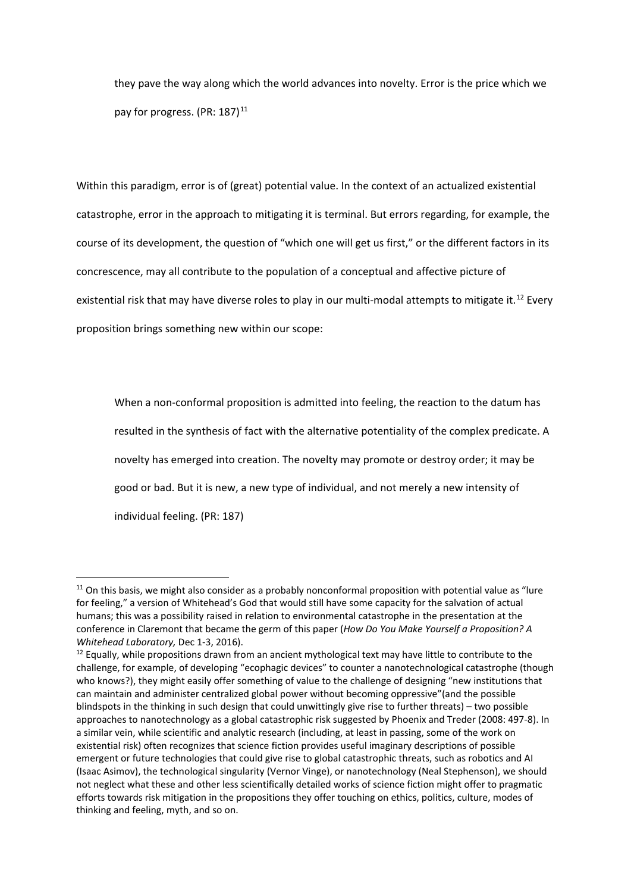they pave the way along which the world advances into novelty. Error is the price which we pay for progress. (PR:  $187$ )<sup>[11](#page-21-0)</sup>

Within this paradigm, error is of (great) potential value. In the context of an actualized existential catastrophe, error in the approach to mitigating it is terminal. But errors regarding, for example, the course of its development, the question of "which one will get us first," or the different factors in its concrescence, may all contribute to the population of a conceptual and affective picture of existential risk that may have diverse roles to play in our multi-modal attempts to mitigate it.<sup>[12](#page-21-1)</sup> Every proposition brings something new within our scope:

When a non-conformal proposition is admitted into feeling, the reaction to the datum has resulted in the synthesis of fact with the alternative potentiality of the complex predicate. A novelty has emerged into creation. The novelty may promote or destroy order; it may be good or bad. But it is new, a new type of individual, and not merely a new intensity of individual feeling. (PR: 187)

<span id="page-21-0"></span> $11$  On this basis, we might also consider as a probably nonconformal proposition with potential value as "lure for feeling," a version of Whitehead's God that would still have some capacity for the salvation of actual humans; this was a possibility raised in relation to environmental catastrophe in the presentation at the conference in Claremont that became the germ of this paper (*How Do You Make Yourself a Proposition? A Whitehead Laboratory,* Dec 1-3, 2016).

<span id="page-21-1"></span><sup>&</sup>lt;sup>12</sup> Equally, while propositions drawn from an ancient mythological text may have little to contribute to the challenge, for example, of developing "ecophagic devices" to counter a nanotechnological catastrophe (though who knows?), they might easily offer something of value to the challenge of designing "new institutions that can maintain and administer centralized global power without becoming oppressive"(and the possible blindspots in the thinking in such design that could unwittingly give rise to further threats) – two possible approaches to nanotechnology as a global catastrophic risk suggested by Phoenix and Treder (2008: 497-8). In a similar vein, while scientific and analytic research (including, at least in passing, some of the work on existential risk) often recognizes that science fiction provides useful imaginary descriptions of possible emergent or future technologies that could give rise to global catastrophic threats, such as robotics and AI (Isaac Asimov), the technological singularity (Vernor Vinge), or nanotechnology (Neal Stephenson), we should not neglect what these and other less scientifically detailed works of science fiction might offer to pragmatic efforts towards risk mitigation in the propositions they offer touching on ethics, politics, culture, modes of thinking and feeling, myth, and so on.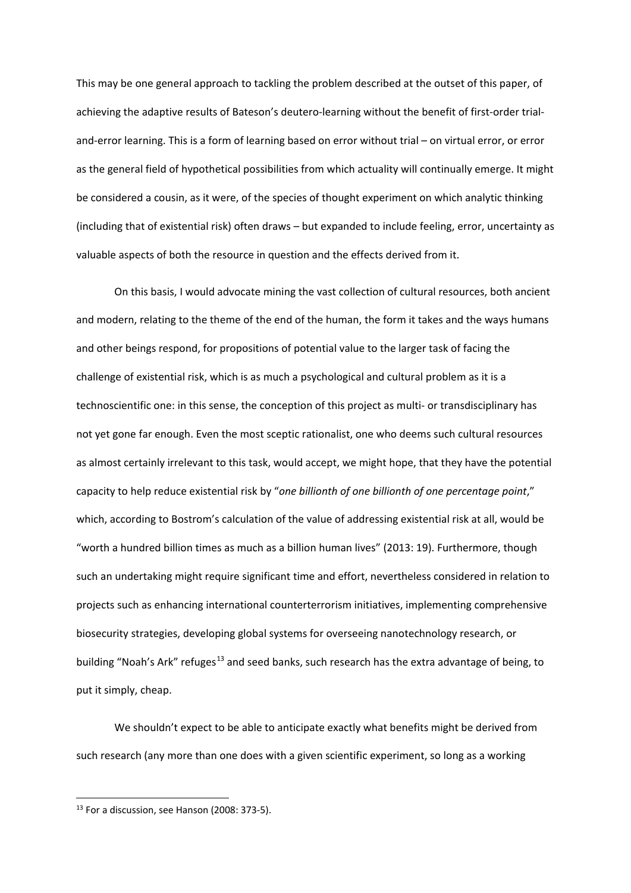This may be one general approach to tackling the problem described at the outset of this paper, of achieving the adaptive results of Bateson's deutero-learning without the benefit of first-order trialand-error learning. This is a form of learning based on error without trial – on virtual error, or error as the general field of hypothetical possibilities from which actuality will continually emerge. It might be considered a cousin, as it were, of the species of thought experiment on which analytic thinking (including that of existential risk) often draws – but expanded to include feeling, error, uncertainty as valuable aspects of both the resource in question and the effects derived from it.

On this basis, I would advocate mining the vast collection of cultural resources, both ancient and modern, relating to the theme of the end of the human, the form it takes and the ways humans and other beings respond, for propositions of potential value to the larger task of facing the challenge of existential risk, which is as much a psychological and cultural problem as it is a technoscientific one: in this sense, the conception of this project as multi- or transdisciplinary has not yet gone far enough. Even the most sceptic rationalist, one who deems such cultural resources as almost certainly irrelevant to this task, would accept, we might hope, that they have the potential capacity to help reduce existential risk by "*one billionth of one billionth of one percentage point*," which, according to Bostrom's calculation of the value of addressing existential risk at all, would be "worth a hundred billion times as much as a billion human lives" (2013: 19). Furthermore, though such an undertaking might require significant time and effort, nevertheless considered in relation to projects such as enhancing international counterterrorism initiatives, implementing comprehensive biosecurity strategies, developing global systems for overseeing nanotechnology research, or building "Noah's Ark" refuges<sup>[13](#page-22-0)</sup> and seed banks, such research has the extra advantage of being, to put it simply, cheap.

We shouldn't expect to be able to anticipate exactly what benefits might be derived from such research (any more than one does with a given scientific experiment, so long as a working

<span id="page-22-0"></span> $13$  For a discussion, see Hanson (2008: 373-5).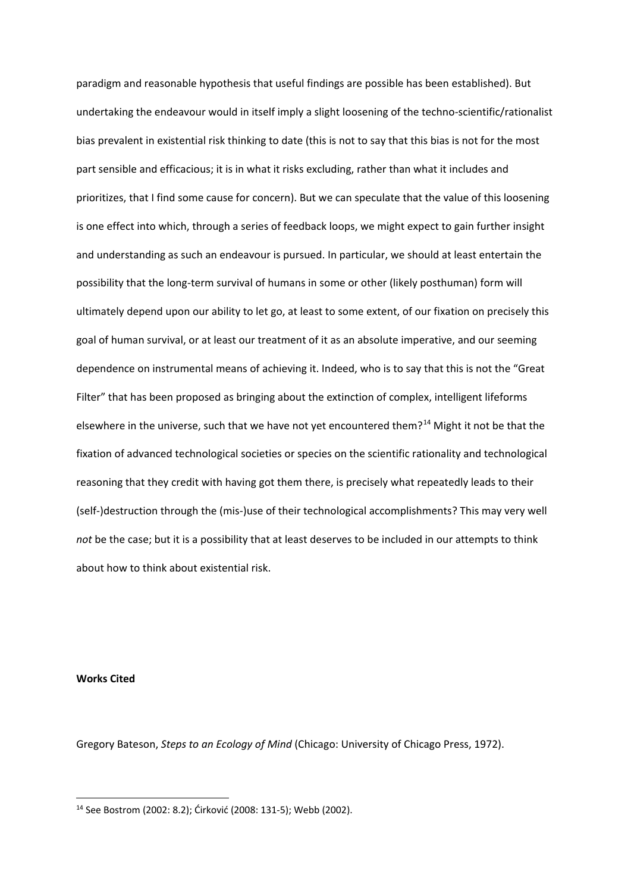paradigm and reasonable hypothesis that useful findings are possible has been established). But undertaking the endeavour would in itself imply a slight loosening of the techno-scientific/rationalist bias prevalent in existential risk thinking to date (this is not to say that this bias is not for the most part sensible and efficacious; it is in what it risks excluding, rather than what it includes and prioritizes, that I find some cause for concern). But we can speculate that the value of this loosening is one effect into which, through a series of feedback loops, we might expect to gain further insight and understanding as such an endeavour is pursued. In particular, we should at least entertain the possibility that the long-term survival of humans in some or other (likely posthuman) form will ultimately depend upon our ability to let go, at least to some extent, of our fixation on precisely this goal of human survival, or at least our treatment of it as an absolute imperative, and our seeming dependence on instrumental means of achieving it. Indeed, who is to say that this is not the "Great Filter" that has been proposed as bringing about the extinction of complex, intelligent lifeforms elsewhere in the universe, such that we have not yet encountered them?<sup>[14](#page-23-0)</sup> Might it not be that the fixation of advanced technological societies or species on the scientific rationality and technological reasoning that they credit with having got them there, is precisely what repeatedly leads to their (self-)destruction through the (mis-)use of their technological accomplishments? This may very well *not* be the case; but it is a possibility that at least deserves to be included in our attempts to think about how to think about existential risk.

**Works Cited**

Gregory Bateson, *Steps to an Ecology of Mind* (Chicago: University of Chicago Press, 1972).

<span id="page-23-0"></span> <sup>14</sup> See Bostrom (2002: 8.2); Ćirković (2008: 131-5); Webb (2002).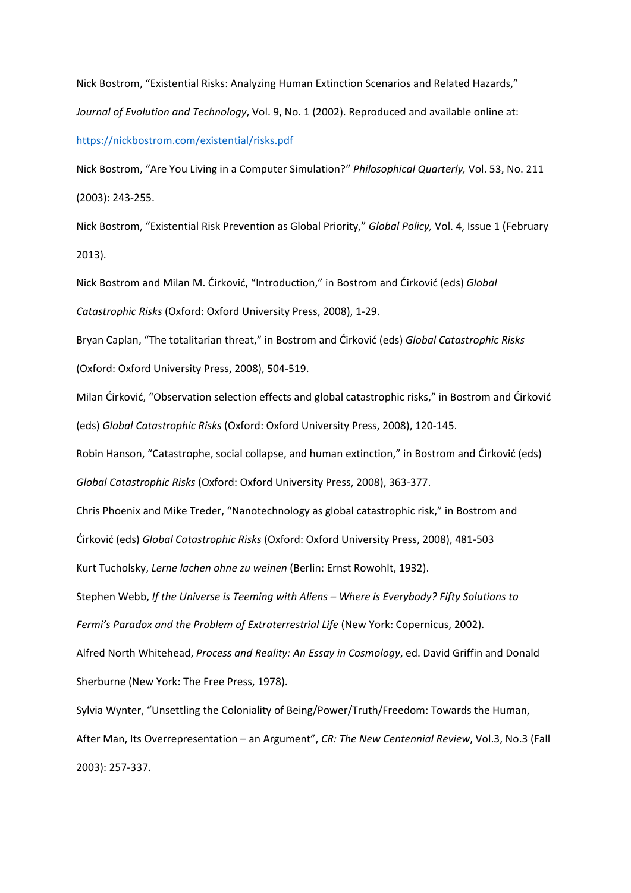Nick Bostrom, "Existential Risks: Analyzing Human Extinction Scenarios and Related Hazards," *Journal of Evolution and Technology*, Vol. 9, No. 1 (2002). Reproduced and available online at: <https://nickbostrom.com/existential/risks.pdf>

Nick Bostrom, "Are You Living in a Computer Simulation?" *Philosophical Quarterly,* Vol. 53, No. 211 (2003): 243-255.

Nick Bostrom, "Existential Risk Prevention as Global Priority," *Global Policy,* Vol. 4, Issue 1 (February 2013).

Nick Bostrom and Milan M. Ćirković, "Introduction," in Bostrom and Ćirković (eds) *Global Catastrophic Risks* (Oxford: Oxford University Press, 2008), 1-29.

Bryan Caplan, "The totalitarian threat," in Bostrom and Ćirković (eds) *Global Catastrophic Risks*  (Oxford: Oxford University Press, 2008), 504-519.

Milan Ćirković, "Observation selection effects and global catastrophic risks," in Bostrom and Ćirković (eds) *Global Catastrophic Risks* (Oxford: Oxford University Press, 2008), 120-145.

Robin Hanson, "Catastrophe, social collapse, and human extinction," in Bostrom and Ćirković (eds)

*Global Catastrophic Risks* (Oxford: Oxford University Press, 2008), 363-377.

Chris Phoenix and Mike Treder, "Nanotechnology as global catastrophic risk," in Bostrom and

Ćirković (eds) *Global Catastrophic Risks* (Oxford: Oxford University Press, 2008), 481-503

Kurt Tucholsky, *Lerne lachen ohne zu weinen* (Berlin: Ernst Rowohlt, 1932).

Stephen Webb, *If the Universe is Teeming with Aliens – Where is Everybody? Fifty Solutions to* 

*Fermi's Paradox and the Problem of Extraterrestrial Life* (New York: Copernicus, 2002).

Alfred North Whitehead, *Process and Reality: An Essay in Cosmology*, ed. David Griffin and Donald Sherburne (New York: The Free Press, 1978).

Sylvia Wynter, "Unsettling the Coloniality of Being/Power/Truth/Freedom: Towards the Human, After Man, Its Overrepresentation – an Argument", *CR: The New Centennial Review*, Vol.3, No.3 (Fall 2003): 257-337.